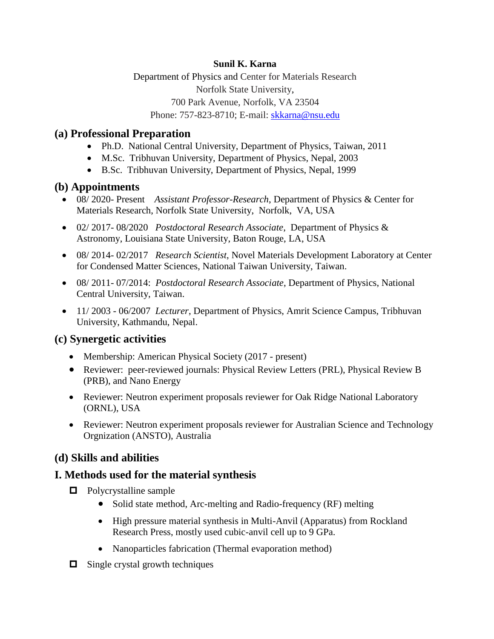#### **Sunil K. Karna**

Department of Physics and Center for Materials Research Norfolk State University, 700 Park Avenue, Norfolk, VA 23504 Phone: 757-823-8710; E-mail: skkarna@nsu.edu

### **(a) Professional Preparation**

- Ph.D. National Central University, Department of Physics, Taiwan, 2011
- M.Sc.Tribhuvan University, Department of Physics, Nepal, 2003
- B.Sc.Tribhuvan University, Department of Physics, Nepal, 1999

### **(b) Appointments**

- 08/ 2020- Present *Assistant Professor-Research*, Department of Physics & Center for Materials Research, Norfolk State University, Norfolk, VA, USA
- 02/ 2017- 08/2020 *Postdoctoral Research Associate*, Department of Physics & Astronomy, Louisiana State University, Baton Rouge, LA, USA
- 08/ 2014- 02/2017 *Research Scientist*, Novel Materials Development Laboratory at Center for Condensed Matter Sciences, National Taiwan University, Taiwan.
- 08/ 2011- 07/2014: *Postdoctoral Research Associate*, Department of Physics, National Central University, Taiwan.
- 11/ 2003 06/2007 *Lecturer*, Department of Physics, Amrit Science Campus, Tribhuvan University, Kathmandu, Nepal.

# **(c) Synergetic activities**

- Membership: American Physical Society (2017 present)
- Reviewer: peer-reviewed journals: Physical Review Letters (PRL), Physical Review B (PRB), and Nano Energy
- Reviewer: Neutron experiment proposals reviewer for Oak Ridge National Laboratory (ORNL), USA
- Reviewer: Neutron experiment proposals reviewer for Australian Science and Technology Orgnization (ANSTO), Australia

# **(d) Skills and abilities**

### **I. Methods used for the material synthesis**

- $\Box$  Polycrystalline sample
	- Solid state method, Arc-melting and Radio-frequency (RF) melting
	- High pressure material synthesis in Multi-Anvil (Apparatus) from Rockland Research Press, mostly used cubic-anvil cell up to 9 GPa.
	- Nanoparticles fabrication (Thermal evaporation method)
- $\Box$  Single crystal growth techniques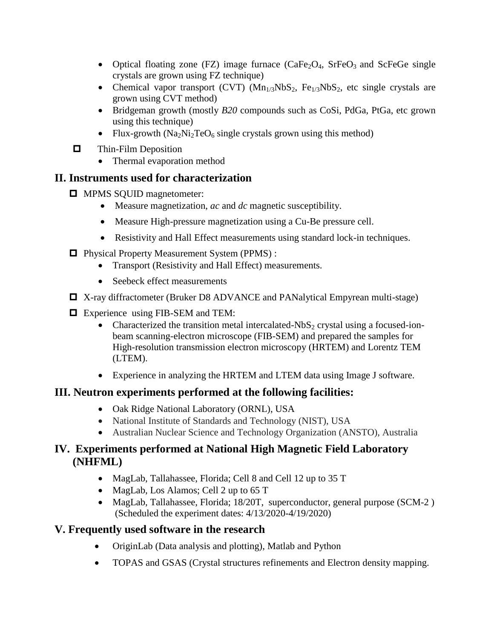- Optical floating zone (FZ) image furnace  $(CaFe<sub>2</sub>O<sub>4</sub>, SrFeO<sub>3</sub>$  and ScFeGe single crystals are grown using FZ technique)
- Chemical vapor transport (CVT)  $(Mn_{1/3}NbS_2, Fe_{1/3}NbS_2, etc.$  single crystals are grown using CVT method)
- Bridgeman growth (mostly *B20* compounds such as CoSi, PdGa, PtGa, etc grown using this technique)
- Flux-growth  $(Na_2Ni_2TeO_6$  single crystals grown using this method)
- $\Box$  Thin-Film Deposition
	- Thermal evaporation method

### **II. Instruments used for characterization**

- $\Box$  MPMS SQUID magnetometer:
	- Measure magnetization, *ac* and *dc* magnetic susceptibility.
	- Measure High-pressure magnetization using a Cu-Be pressure cell.
	- Resistivity and Hall Effect measurements using standard lock-in techniques.
- □ Physical Property Measurement System (PPMS) :
	- Transport (Resistivity and Hall Effect) measurements.
	- Seebeck effect measurements
- X-ray diffractometer (Bruker D8 ADVANCE and PANalytical Empyrean multi-stage)
- □ Experience using FIB-SEM and TEM:
	- Characterized the transition metal intercalated-NbS<sub>2</sub> crystal using a focused-ionbeam scanning-electron microscope (FIB-SEM) and prepared the samples for High-resolution transmission electron microscopy (HRTEM) and Lorentz TEM (LTEM).
	- Experience in analyzing the HRTEM and LTEM data using Image J software.

# **III. Neutron experiments performed at the following facilities:**

- Oak Ridge National Laboratory (ORNL), USA
- National Institute of Standards and Technology (NIST), USA
- Australian Nuclear Science and Technology Organization (ANSTO), Australia

### **IV. Experiments performed at National High Magnetic Field Laboratory (NHFML)**

- MagLab, Tallahassee, Florida; Cell 8 and Cell 12 up to 35 T
- MagLab, Los Alamos; Cell 2 up to 65 T
- MagLab, Tallahassee, Florida; 18/20T, superconductor, general purpose (SCM-2) (Scheduled the experiment dates: 4/13/2020-4/19/2020)

# **V. Frequently used software in the research**

- OriginLab (Data analysis and plotting), Matlab and Python
- TOPAS and GSAS (Crystal structures refinements and Electron density mapping.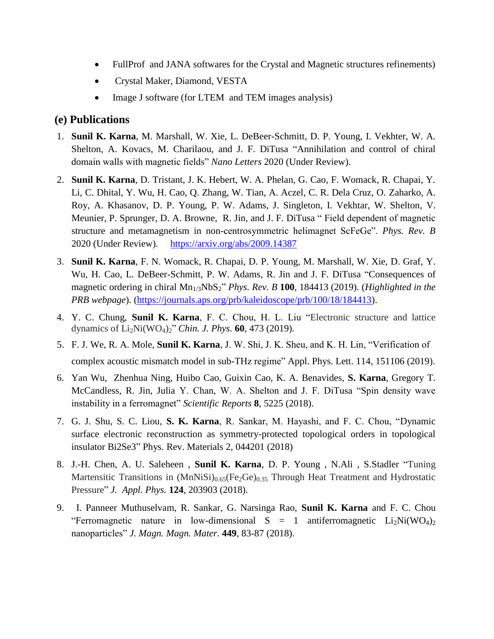- FullProf and JANA softwares for the Crystal and Magnetic structures refinements)
- Crystal Maker, Diamond, VESTA
- Image J software (for LTEM and TEM images analysis)

#### **(e) Publications**

- 1. **Sunil K. Karna**, M. Marshall, W. Xie, L. DeBeer-Schmitt, D. P. Young, I. Vekhter, W. A. Shelton, A. Kovacs, M. Charilaou, and J. F. DiTusa "Annihilation and control of chiral domain walls with magnetic fields" *Nano Letters* 2020 (Under Review).
- 2. **Sunil K. Karna**, D. Tristant, J. K. Hebert, W. A. Phelan, G. Cao, F. Womack, R. Chapai, Y. Li, C. Dhital, Y. Wu, H. Cao, Q. Zhang, W. Tian, A. Aczel, C. R. Dela Cruz, O. Zaharko, A. Roy, A. Khasanov, D. P. Young, P. W. Adams, J. Singleton, I. Vekhtar, W. Shelton, V. Meunier, P. Sprunger, D. A. Browne, R. Jin, and J. F. DiTusa " Field dependent of magnetic structure and metamagnetism in non-centrosymmetric helimagnet ScFeGe". *Phys. Rev. B* 2020 (Under Review). https://arxiv.org/abs/2009.14387
- 3. **Sunil K. Karna**, F. N. Womack, R. Chapai, D. P. Young, M. Marshall, W. Xie, D. Graf, Y. Wu, H. Cao, L. DeBeer-Schmitt, P. W. Adams, R. Jin and J. F. DiTusa "Consequences of magnetic ordering in chiral Mn<sub>1/3</sub>NbS<sub>2</sub>" *Phys. Rev. B* 100, 184413 (2019). (*Highlighted in the PRB webpage*). [\(https://journals.aps.org/prb/kaleidoscope/prb/100/18/184413\)](https://journals.aps.org/prb/kaleidoscope/prb/100/18/184413).
- 4. Y. C. Chung, **Sunil K. Karna**, F. C. Chou, H. L. Liu "Electronic structure and lattice dynamics of Li2Ni(WO4)2" *Chin. J. Phys.* **60***,* 473 (2019).
- 5. F. J. We, R. A. Mole, **Sunil K. Karna**, J. W. Shi, J. K. Sheu, and K. H. Lin, "Verification of complex acoustic mismatch model in sub-THz regime" Appl. Phys. Lett. 114, 151106 (2019).
- 6. Yan Wu, Zhenhua Ning, Huibo Cao, Guixin Cao, K. A. Benavides, **S. Karna**, Gregory T. McCandless, R. Jin, Julia Y. Chan, W. A. Shelton and J. F. DiTusa "Spin density wave instability in a ferromagnet" *Scientific Reports* **8**, 5225 (2018).
- 7. G. J. Shu, S. C. Liou, **S. K. Karna**, R. Sankar, M. Hayashi, and F. C. Chou, "Dynamic surface electronic reconstruction as symmetry-protected topological orders in topological insulator Bi2Se3" Phys. Rev. Materials 2, 044201 (2018)
- 8. J.-H. Chen, A. U. Saleheen , **Sunil K. Karna**, D. P. Young , N.Ali , S.Stadler "Tuning Martensitic Transitions in  $(MnNiSi)_{0.65}$  (Fe<sub>2</sub>Ge)<sub>0.35</sub> Through Heat Treatment and Hydrostatic Pressure" *J. Appl. Phys.* **124**, 203903 (2018).
- 9. I. Panneer Muthuselvam, R. Sankar, G. Narsinga Rao, **Sunil K. Karna** and F. C. Chou "Ferromagnetic nature in low-dimensional  $S = 1$  antiferromagnetic  $Li_2Ni(WO_4)_2$ nanoparticles" *J. Magn. Magn. Mater.* **449**, 83-87 (2018).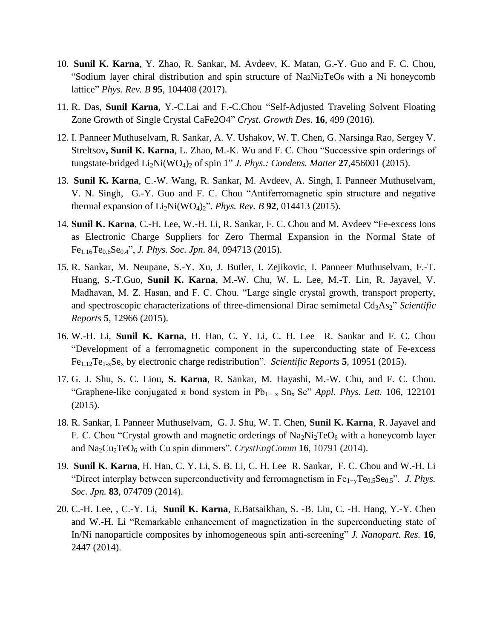- 10. **Sunil K. Karna**, Y. Zhao, R. Sankar, M. Avdeev, K. Matan, G.-Y. Guo and F. C. Chou, "Sodium layer chiral distribution and spin structure of Na2Ni2TeO6 with a Ni honeycomb lattice" *Phys. Rev. B* **95**, 104408 (2017).
- 11. R. Das, **Sunil Karna**, Y.-C.Lai and F.-C.Chou "Self-Adjusted Traveling Solvent Floating Zone Growth of Single Crystal CaFe2O4" *Cryst. Growth Des.* **16**, 499 (2016).
- 12. I. Panneer Muthuselvam, R. Sankar, A. V. Ushakov, W. T. Chen, G. Narsinga Rao, Sergey V. Streltsov**, Sunil K. Karna**, L. Zhao, M.-K. Wu and F. C. Chou "Successive spin orderings of tungstate-bridged  $Li_2Ni(WO_4)_2$  of spin 1" *J. Phys.: Condens. Matter* 27,456001 (2015).
- 13. **Sunil K. Karna**, C.-W. Wang, R. Sankar, M. Avdeev, A. Singh, I. Panneer Muthuselvam, V. N. Singh, G.-Y. Guo and F. C. Chou "Antiferromagnetic spin structure and negative thermal expansion of Li2Ni(WO4)2". *Phys. Rev. B* **92**, 014413 (2015).
- 14. **Sunil K. Karna**, C.-H. Lee, W.-H. Li, R. Sankar, F. C. Chou and M. Avdeev "Fe-excess Ions as Electronic Charge Suppliers for Zero Thermal Expansion in the Normal State of Fe1.16Te0.6Se0.4", *J. Phys. Soc. Jpn*. 84, 094713 (2015).
- 15. R. Sankar, M. Neupane, S.-Y. Xu, J. Butler, I. Zejikovic, I. Panneer Muthuselvam, F.-T. Huang, S.-T.Guo, **Sunil K. Karna**, M.-W. Chu, W. L. Lee, M.-T. Lin, R. Jayavel, V. Madhavan, M. Z. Hasan, and F. C. Chou. "Large single crystal growth, transport property, and spectroscopic characterizations of three-dimensional Dirac semimetal Cd<sub>3</sub>As<sub>2</sub>" *Scientific Reports* **5**, 12966 (2015).
- 16. W.-H. Li, **Sunil K. Karna**, H. Han, C. Y. Li, C. H. Lee R. Sankar and F. C. Chou "Development of a ferromagnetic component in the superconducting state of Fe-excess Fe1.12Te1-xSe<sup>x</sup> by electronic charge redistribution". *Scientific Reports* **5**, 10951 (2015).
- 17. G. J. Shu, S. C. Liou, **S. Karna**, R. Sankar, M. Hayashi, M.-W. Chu, and F. C. Chou. "Graphene-like conjugated  $\pi$  bond system in Pb<sub>1-x</sub> Sn<sub>x</sub> Se" *Appl. Phys. Lett.* 106, 122101 (2015).
- 18. R. Sankar, I. Panneer Muthuselvam, G. J. Shu, W. T. Chen, **Sunil K. Karna**, R. Jayavel and F. C. Chou "Crystal growth and magnetic orderings of  $Na<sub>2</sub>Ni<sub>2</sub>TeO<sub>6</sub>$  with a honeycomb layer and Na<sub>2</sub>Cu<sub>2</sub>TeO<sub>6</sub> with Cu spin dimmers". *CrystEngComm* 16, 10791 (2014).
- 19. **Sunil K. Karna**, H. Han, C. Y. Li, S. B. Li, C. H. Lee R. Sankar, F. C. Chou and W.-H. Li "Direct interplay between superconductivity and ferromagnetism in Fe<sub>1+y</sub>Te<sub>0.5</sub>Se<sub>0.5</sub>". *J. Phys. Soc. Jpn.* **83**, 074709 (2014).
- 20. C.-H. Lee, , C.-Y. Li, **Sunil K. Karna**, E.Batsaikhan, S. -B. Liu, C. -H. Hang, Y.-Y. Chen and W.-H. Li "Remarkable enhancement of magnetization in the superconducting state of In/Ni nanoparticle composites by inhomogeneous spin anti-screening" *J. Nanopart. Res.* **16**, 2447 (2014).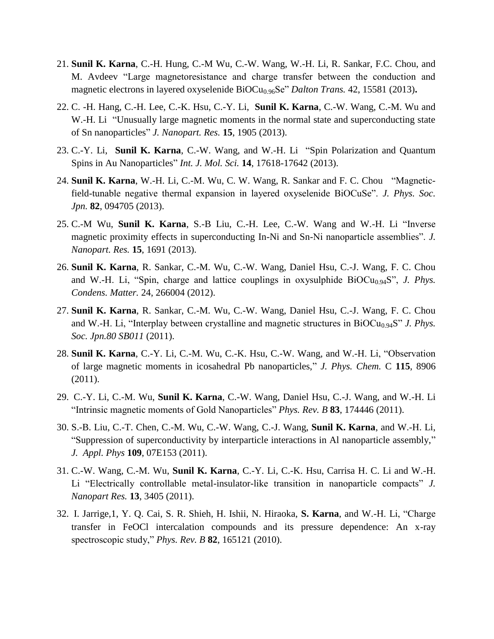- 21. **Sunil K. Karna**, C.-H. Hung, C.-M Wu, C.-W. Wang, W.-H. Li, R. Sankar, F.C. Chou, and M. Avdeev "Large magnetoresistance and charge transfer between the conduction and magnetic electrons in layered oxyselenide BiOCu<sub>0.96</sub>Se" *Dalton Trans.* 42, 15581 (2013).
- 22. C. -H. Hang, C.-H. Lee, C.-K. Hsu, C.-Y. Li, **Sunil K. Karna**, C.-W. Wang, C.-M. Wu and W.-H. Li "Unusually large magnetic moments in the normal state and superconducting state of Sn nanoparticles" *J. Nanopart. Res.* **15**, 1905 (2013).
- 23. C.-Y. Li, **Sunil K. Karna**, C.-W. Wang, and W.-H. Li "Spin Polarization and Quantum Spins in Au Nanoparticles" *Int. J. Mol. Sci.* **14**, 17618-17642 (2013).
- 24. **Sunil K. Karna**, W.-H. Li, C.-M. Wu, C. W. Wang, R. Sankar and F. C. Chou "Magneticfield-tunable negative thermal expansion in layered oxyselenide BiOCuSe". *J. Phys. Soc. Jpn.* **82**, 094705 (2013).
- 25. C.-M Wu, **Sunil K. Karna**, S.-B Liu, C.-H. Lee, C.-W. Wang and W.-H. Li "Inverse magnetic proximity effects in superconducting In-Ni and Sn-Ni nanoparticle assemblies". *J. Nanopart. Res.* **15**, 1691 (2013).
- 26. **Sunil K. Karna**, R. Sankar, C.-M. Wu, C.-W. Wang, Daniel Hsu, C.-J. Wang, F. C. Chou and W.-H. Li, "Spin, charge and lattice couplings in oxysulphide  $BiOCu<sub>0.94</sub>S$ ", *J. Phys. Condens. Matter.* 24, 266004 (2012).
- 27. **Sunil K. Karna**, R. Sankar, C.-M. Wu, C.-W. Wang, Daniel Hsu, C.-J. Wang, F. C. Chou and W.-H. Li, "Interplay between crystalline and magnetic structures in  $BiOCu<sub>0.94</sub>S$ " *J. Phys. Soc. Jpn.80 SB011* (2011).
- 28. **Sunil K. Karna**, C.-Y. Li, C.-M. Wu, C.-K. Hsu, C.-W. Wang, and W.-H. Li, "Observation of large magnetic moments in icosahedral Pb nanoparticles," *J. Phys. Chem.* C **115**, 8906 (2011).
- 29. C.-Y. Li, C.-M. Wu, **Sunil K. Karna**, C.-W. Wang, Daniel Hsu, C.-J. Wang, and W.-H. Li "Intrinsic magnetic moments of Gold Nanoparticles" *Phys. Rev. B* **83**, 174446 (2011).
- 30. S.-B. Liu, C.-T. Chen, C.-M. Wu, C.-W. Wang, C.-J. Wang, **Sunil K. Karna**, and W.-H. Li, "Suppression of superconductivity by interparticle interactions in Al nanoparticle assembly," *J. Appl. Phys* **109**, 07E153 (2011).
- 31. C.-W. Wang, C.-M. Wu, **Sunil K. Karna**, C.-Y. Li, C.-K. Hsu, Carrisa H. C. Li and W.-H. Li "Electrically controllable metal-insulator-like transition in nanoparticle compacts" *J. Nanopart Res.* **13**, 3405 (2011).
- 32. I. Jarrige,1, Y. Q. Cai, S. R. Shieh, H. Ishii, N. Hiraoka, **S. Karna**, and W.-H. Li, "Charge transfer in FeOCl intercalation compounds and its pressure dependence: An x-ray spectroscopic study," *Phys. Rev. B* **82**, 165121 (2010).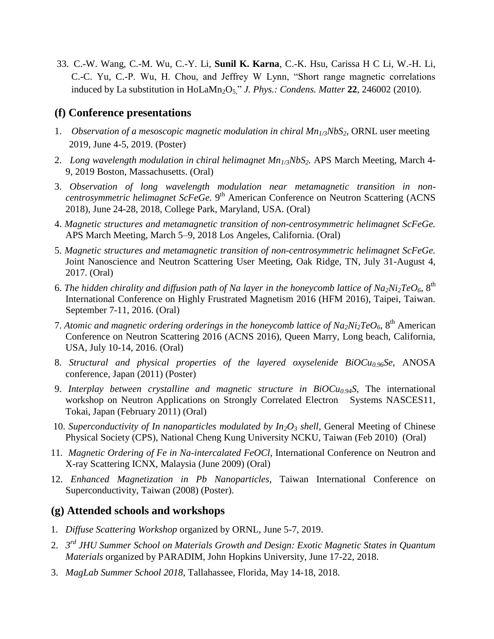33. C.-W. Wang, C.-M. Wu, C.-Y. Li, **Sunil K. Karna**, C.-K. Hsu, Carissa H C Li, W.-H. Li, C.-C. Yu, C.-P. Wu, H. Chou, and Jeffrey W Lynn, "Short range magnetic correlations induced by La substitution in HoLaMn<sub>2</sub>O<sub>5</sub>" *J. Phys.: Condens. Matter* 22, 246002 (2010).

#### **(f) Conference presentations**

- 1. *Observation of a mesoscopic magnetic modulation in chiral Mn1/3NbS2*, ORNL user meeting 2019, June 4-5, 2019. (Poster)
- 2. *Long wavelength modulation in chiral helimagnet Mn1/3NbS2.* APS March Meeting, March 4- 9, 2019 Boston, Massachusetts. (Oral)
- 3. *Observation of long wavelength modulation near metamagnetic transition in non*centrosymmetric helimagnet ScFeGe. 9<sup>th</sup> American Conference on Neutron Scattering (ACNS 2018)*,* June 24-28, 2018, College Park, Maryland, USA. (Oral)
- 4. *Magnetic structures and metamagnetic transition of non-centrosymmetric helimagnet ScFeGe.* APS March Meeting, March 5–9, 2018 Los Angeles, California. (Oral)
- 5. *Magnetic structures and metamagnetic transition of non-centrosymmetric helimagnet ScFeGe.* Joint Nanoscience and Neutron Scattering User Meeting, Oak Ridge, TN, July 31-August 4, 2017. (Oral)
- 6. The hidden chirality and diffusion path of Na layer in the honeycomb lattice of  $Na_2Ni_2TeO_6$ ,  $8<sup>th</sup>$ International Conference on Highly Frustrated Magnetism 2016 (HFM 2016), Taipei, Taiwan. September 7-11, 2016. (Oral)
- 7. Atomic and magnetic ordering orderings in the honeycomb lattice of  $Na_2Ni_2TeO_6$ ,  $8<sup>th</sup>$  American Conference on Neutron Scattering 2016 (ACNS 2016), Queen Marry, Long beach, California, USA, July 10-14, 2016. (Oral)
- 8. *Structural and physical properties of the layered oxyselenide BiOCu0.96Se*, ANOSA conference, Japan (2011) (Poster)
- 9. *Interplay between crystalline and magnetic structure in BiOCu0.94S*, The international workshop on Neutron Applications on Strongly Correlated Electron Systems NASCES11, Tokai, Japan (February 2011) (Oral)
- 10. *Superconductivity of In nanoparticles modulated by In2O<sup>3</sup> shell*, General Meeting of Chinese Physical Society (CPS), National Cheng Kung University NCKU, Taiwan (Feb 2010) (Oral)
- 11*. Magnetic Ordering of Fe in Na-intercalated FeOCl*, International Conference on Neutron and X-ray Scattering ICNX, Malaysia (June 2009) (Oral)
- 12. *Enhanced Magnetization in Pb Nanoparticles*, Taiwan International Conference on Superconductivity, Taiwan (2008) (Poster).

#### **(g) Attended schools and workshops**

- 1. *Diffuse Scattering Workshop* organized by ORNL, June 5-7, 2019.
- 2. *3 rd JHU Summer School on Materials Growth and Design: Exotic Magnetic States in Quantum Materials* organized by PARADIM, John Hopkins University, June 17-22, 2018.
- 3. *MagLab Summer School 2018*, Tallahassee, Florida, May 14-18, 2018.